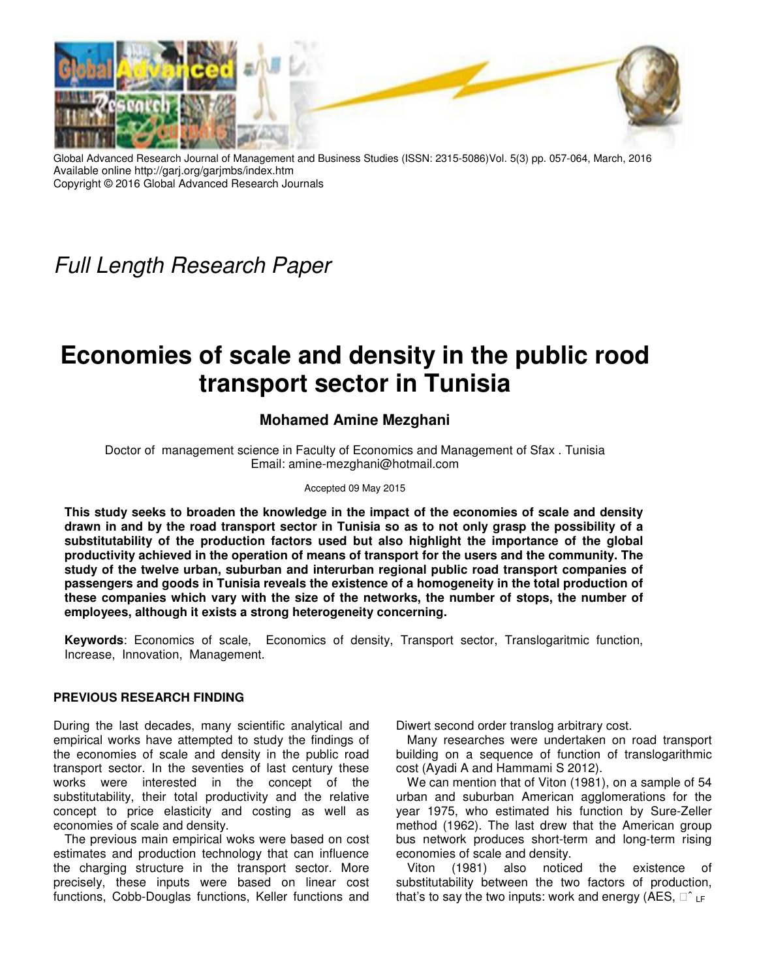

Global Advanced Research Journal of Management and Business Studies (ISSN: 2315-5086)Vol. 5(3) pp. 057-064, March, 2016 Available online http://garj.org/garjmbs/index.htm Copyright © 2016 Global Advanced Research Journals

Full Length Research Paper

# **Economies of scale and density in the public rood transport sector in Tunisia**

# **Mohamed Amine Mezghani**

Doctor of management science in Faculty of Economics and Management of Sfax . Tunisia Email: amine-mezghani@hotmail.com

#### Accepted 09 May 2015

**This study seeks to broaden the knowledge in the impact of the economies of scale and density drawn in and by the road transport sector in Tunisia so as to not only grasp the possibility of a substitutability of the production factors used but also highlight the importance of the global productivity achieved in the operation of means of transport for the users and the community. The study of the twelve urban, suburban and interurban regional public road transport companies of passengers and goods in Tunisia reveals the existence of a homogeneity in the total production of these companies which vary with the size of the networks, the number of stops, the number of employees, although it exists a strong heterogeneity concerning.** 

**Keywords**: Economics of scale, Economics of density, Transport sector, Translogaritmic function, Increase, Innovation, Management.

#### **PREVIOUS RESEARCH FINDING**

During the last decades, many scientific analytical and empirical works have attempted to study the findings of the economies of scale and density in the public road transport sector. In the seventies of last century these works were interested in the concept of the substitutability, their total productivity and the relative concept to price elasticity and costing as well as economies of scale and density.

The previous main empirical woks were based on cost estimates and production technology that can influence the charging structure in the transport sector. More precisely, these inputs were based on linear cost functions, Cobb-Douglas functions, Keller functions and Diwert second order translog arbitrary cost.

Many researches were undertaken on road transport building on a sequence of function of translogarithmic cost (Ayadi A and Hammami S 2012).

We can mention that of Viton (1981), on a sample of 54 urban and suburban American agglomerations for the year 1975, who estimated his function by Sure-Zeller method (1962). The last drew that the American group bus network produces short-term and long-term rising economies of scale and density.

Viton (1981) also noticed the existence of substitutability between the two factors of production, that's to say the two inputs: work and energy (AES,  $\hat{c}_{LF}$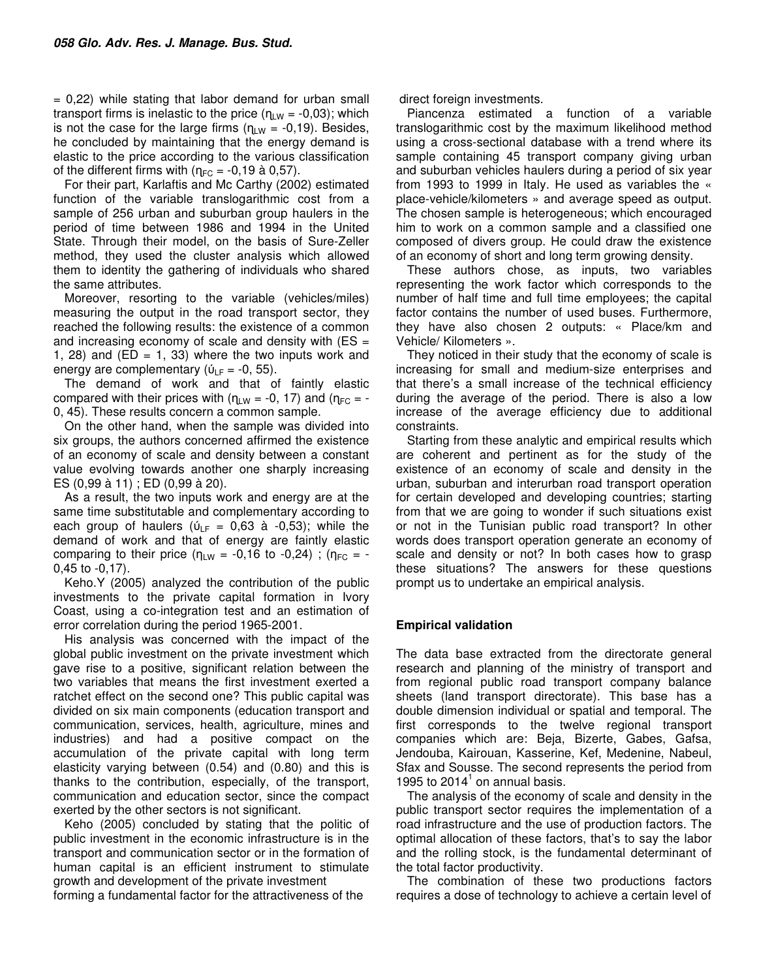$= 0,22$ ) while stating that labor demand for urban small transport firms is inelastic to the price  $(\eta_{LW} = -0.03)$ ; which is not the case for the large firms  $(n_{LW} = -0.19)$ . Besides, he concluded by maintaining that the energy demand is elastic to the price according to the various classification of the different firms with ( $\eta_{FC} = -0.19$  à 0.57).

For their part, Karlaftis and Mc Carthy (2002) estimated function of the variable translogarithmic cost from a sample of 256 urban and suburban group haulers in the period of time between 1986 and 1994 in the United State. Through their model, on the basis of Sure-Zeller method, they used the cluster analysis which allowed them to identity the gathering of individuals who shared the same attributes.

Moreover, resorting to the variable (vehicles/miles) measuring the output in the road transport sector, they reached the following results: the existence of a common and increasing economy of scale and density with  $(ES =$ 1, 28) and  $(ED = 1, 33)$  where the two inputs work and energy are complementary ( $\dot{U}_{LF}$  = -0, 55).

The demand of work and that of faintly elastic compared with their prices with  $(n_{LW} = -0, 17)$  and  $(n_{FC} = -1)$ 0, 45). These results concern a common sample.

On the other hand, when the sample was divided into six groups, the authors concerned affirmed the existence of an economy of scale and density between a constant value evolving towards another one sharply increasing ES (0,99 à 11) ; ED (0,99 à 20).

As a result, the two inputs work and energy are at the same time substitutable and complementary according to each group of haulers ( $U_{LF} = 0.63$  à -0.53); while the demand of work and that of energy are faintly elastic comparing to their price ( $\eta_{LW}$  = -0,16 to -0,24); ( $\eta_{FC}$  = -0,45 to -0,17).

Keho.Y (2005) analyzed the contribution of the public investments to the private capital formation in Ivory Coast, using a co-integration test and an estimation of error correlation during the period 1965-2001.

His analysis was concerned with the impact of the global public investment on the private investment which gave rise to a positive, significant relation between the two variables that means the first investment exerted a ratchet effect on the second one? This public capital was divided on six main components (education transport and communication, services, health, agriculture, mines and industries) and had a positive compact on the accumulation of the private capital with long term elasticity varying between (0.54) and (0.80) and this is thanks to the contribution, especially, of the transport, communication and education sector, since the compact exerted by the other sectors is not significant.

Keho (2005) concluded by stating that the politic of public investment in the economic infrastructure is in the transport and communication sector or in the formation of human capital is an efficient instrument to stimulate growth and development of the private investment forming a fundamental factor for the attractiveness of the

direct foreign investments.

Piancenza estimated a function of a variable translogarithmic cost by the maximum likelihood method using a cross-sectional database with a trend where its sample containing 45 transport company giving urban and suburban vehicles haulers during a period of six year from 1993 to 1999 in Italy. He used as variables the « place-vehicle/kilometers » and average speed as output. The chosen sample is heterogeneous; which encouraged him to work on a common sample and a classified one composed of divers group. He could draw the existence of an economy of short and long term growing density.

These authors chose, as inputs, two variables representing the work factor which corresponds to the number of half time and full time employees; the capital factor contains the number of used buses. Furthermore, they have also chosen 2 outputs: « Place/km and Vehicle/ Kilometers ».

They noticed in their study that the economy of scale is increasing for small and medium-size enterprises and that there's a small increase of the technical efficiency during the average of the period. There is also a low increase of the average efficiency due to additional constraints.

Starting from these analytic and empirical results which are coherent and pertinent as for the study of the existence of an economy of scale and density in the urban, suburban and interurban road transport operation for certain developed and developing countries; starting from that we are going to wonder if such situations exist or not in the Tunisian public road transport? In other words does transport operation generate an economy of scale and density or not? In both cases how to grasp these situations? The answers for these questions prompt us to undertake an empirical analysis.

## **Empirical validation**

The data base extracted from the directorate general research and planning of the ministry of transport and from regional public road transport company balance sheets (land transport directorate). This base has a double dimension individual or spatial and temporal. The first corresponds to the twelve regional transport companies which are: Beja, Bizerte, Gabes, Gafsa, Jendouba, Kairouan, Kasserine, Kef, Medenine, Nabeul, Sfax and Sousse. The second represents the period from 1995 to  $2014<sup>1</sup>$  on annual basis.

The analysis of the economy of scale and density in the public transport sector requires the implementation of a road infrastructure and the use of production factors. The optimal allocation of these factors, that's to say the labor and the rolling stock, is the fundamental determinant of the total factor productivity.

The combination of these two productions factors requires a dose of technology to achieve a certain level of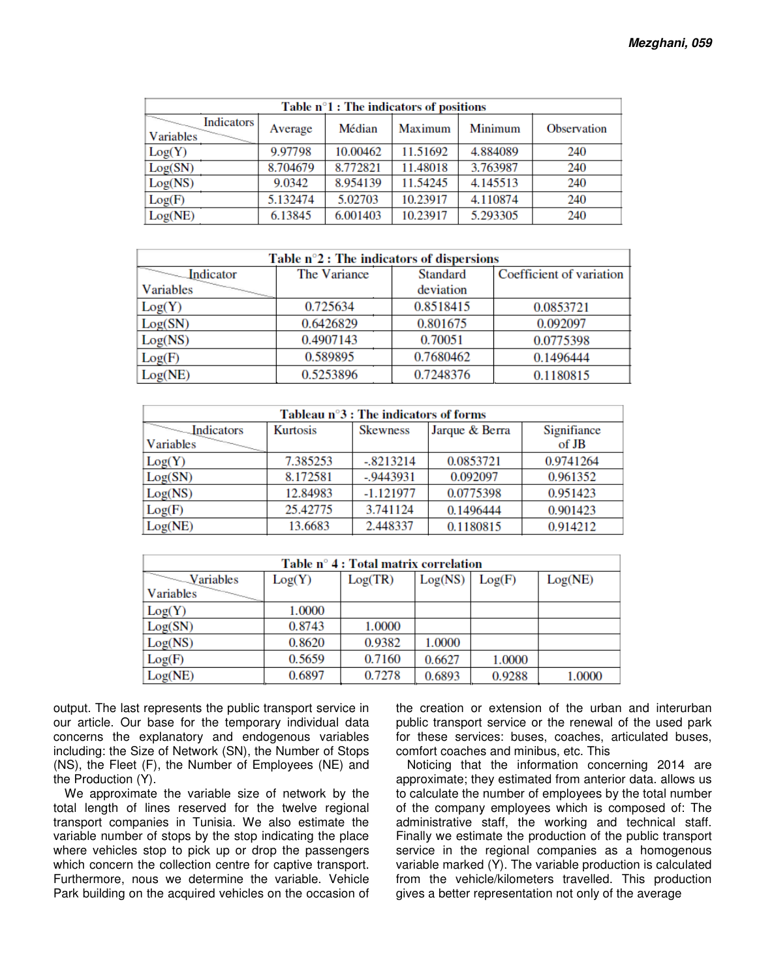|                         |          |          | Table $n^{\circ}1$ : The indicators of positions |                |                    |
|-------------------------|----------|----------|--------------------------------------------------|----------------|--------------------|
| Indicators<br>Variables | Average  | Médian   | Maximum                                          | <b>Minimum</b> | <b>Observation</b> |
| Log(Y)                  | 9.97798  | 10.00462 | 11.51692                                         | 4.884089       | 240                |
| Log(SN)                 | 8.704679 | 8.772821 | 11.48018                                         | 3.763987       | 240                |
| Log(NS)                 | 9.0342   | 8.954139 | 11.54245                                         | 4.145513       | 240                |
| Log(F)                  | 5.132474 | 5.02703  | 10.23917                                         | 4.110874       | 240                |
| Log(NE)                 | 6.13845  | 6.001403 | 10.23917                                         | 5.293305       | 240                |

|                                       | Table $n^{\circ}2$ : The indicators of dispersions |                 |                          |
|---------------------------------------|----------------------------------------------------|-----------------|--------------------------|
| $\overline{\phantom{a}}$<br>Indicator | The Variance                                       | <b>Standard</b> | Coefficient of variation |
| <b>Variables</b>                      |                                                    | deviation       |                          |
| Log(Y)                                | 0.725634                                           | 0.8518415       | 0.0853721                |
| Log(SN)                               | 0.6426829                                          | 0.801675        | 0.092097                 |
| Log(NS)                               | 0.4907143                                          | 0.70051         | 0.0775398                |
| Log(F)                                | 0.589895                                           | 0.7680462       | 0.1496444                |
| Log(NE)                               | 0.5253896                                          | 0.7248376       | 0.1180815                |

|            |                 | Tableau $n^{\circ}3$ : The indicators of forms |                |             |
|------------|-----------------|------------------------------------------------|----------------|-------------|
| Indicators | <b>Kurtosis</b> | <b>Skewness</b>                                | Jarque & Berra | Signifiance |
| Variables  |                 |                                                |                | of JB       |
| Log(Y)     | 7.385253        | $-.8213214$                                    | 0.0853721      | 0.9741264   |
| Log(SN)    | 8.172581        | $-0.9443931$                                   | 0.092097       | 0.961352    |
| Log(NS)    | 12.84983        | $-1.121977$                                    | 0.0775398      | 0.951423    |
| Log(F)     | 25.42775        | 3.741124                                       | 0.1496444      | 0.901423    |
| Log(NE)    | 13.6683         | 2.448337                                       | 0.1180815      | 0.914212    |

|                                        |        | Table $n^{\circ}$ 4 : Total matrix correlation |         |        |         |
|----------------------------------------|--------|------------------------------------------------|---------|--------|---------|
| $\sqrt{\frac{1}{\sqrt{1-\frac{1}{2}}}$ | Log(Y) | Log(TR)                                        | Log(NS) | Log(F) | Log(NE) |
| <b>Variables</b>                       |        |                                                |         |        |         |
| Log(Y)                                 | 1.0000 |                                                |         |        |         |
| Log(SN)                                | 0.8743 | 1.0000                                         |         |        |         |
| Log(NS)                                | 0.8620 | 0.9382                                         | 1.0000  |        |         |
| Log(F)                                 | 0.5659 | 0.7160                                         | 0.6627  | 1.0000 |         |
| Log(NE)                                | 0.6897 | 0.7278                                         | 0.6893  | 0.9288 | 1.0000  |

output. The last represents the public transport service in our article. Our base for the temporary individual data concerns the explanatory and endogenous variables including: the Size of Network (SN), the Number of Stops (NS), the Fleet (F), the Number of Employees (NE) and the Production (Y).

We approximate the variable size of network by the total length of lines reserved for the twelve regional transport companies in Tunisia. We also estimate the variable number of stops by the stop indicating the place where vehicles stop to pick up or drop the passengers which concern the collection centre for captive transport. Furthermore, nous we determine the variable. Vehicle Park building on the acquired vehicles on the occasion of

the creation or extension of the urban and interurban public transport service or the renewal of the used park for these services: buses, coaches, articulated buses, comfort coaches and minibus, etc. This

Noticing that the information concerning 2014 are approximate; they estimated from anterior data. allows us to calculate the number of employees by the total number of the company employees which is composed of: The administrative staff, the working and technical staff. Finally we estimate the production of the public transport service in the regional companies as a homogenous variable marked (Y). The variable production is calculated from the vehicle/kilometers travelled. This production gives a better representation not only of the average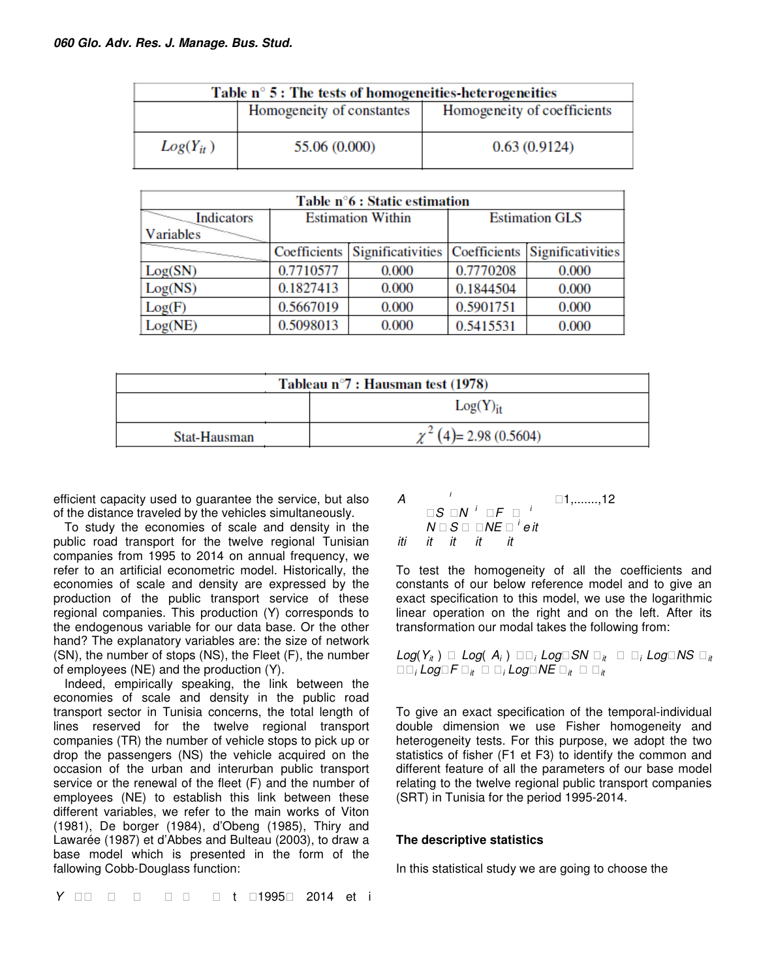|               | Table $n^{\circ}$ 5 : The tests of homogeneities heterogeneities |                             |
|---------------|------------------------------------------------------------------|-----------------------------|
|               | Homogeneity of constantes                                        | Homogeneity of coefficients |
| $Log(Y_{it})$ | 55.06 (0.000)                                                    | 0.63(0.9124)                |

|                      |           | Table n°6 : Static estimation                                 |           |                       |
|----------------------|-----------|---------------------------------------------------------------|-----------|-----------------------|
| $\sim$<br>Indicators |           | <b>Estimation Within</b>                                      |           | <b>Estimation GLS</b> |
| Variables            |           |                                                               |           |                       |
|                      |           | Coefficients Significativities Coefficients Significativities |           |                       |
| Log(SN)              | 0.7710577 | 0.000                                                         | 0.7770208 | 0.000                 |
| Log(NS)              | 0.1827413 | 0.000                                                         | 0.1844504 | 0.000                 |
| Log(F)               | 0.5667019 | 0.000                                                         | 0.5901751 | 0.000                 |
| Log(NE)              | 0.5098013 | 0.000                                                         | 0.5415531 | 0.000                 |

|              | Tableau $n^{\circ}7$ : Hausman test (1978) |                       |
|--------------|--------------------------------------------|-----------------------|
|              |                                            | Log(Y) <sub>it</sub>  |
| Stat-Hausman |                                            | $(4)$ = 2.98 (0.5604) |

efficient capacity used to guarantee the service, but also of the distance traveled by the vehicles simultaneously.

To study the economies of scale and density in the public road transport for the twelve regional Tunisian companies from 1995 to 2014 on annual frequency, we refer to an artificial econometric model. Historically, the economies of scale and density are expressed by the production of the public transport service of these regional companies. This production (Y) corresponds to the endogenous variable for our data base. Or the other hand? The explanatory variables are: the size of network (SN), the number of stops (NS), the Fleet (F), the number of employees (NE) and the production (Y).

Indeed, empirically speaking, the link between the economies of scale and density in the public road transport sector in Tunisia concerns, the total length of lines reserved for the twelve regional transport companies (TR) the number of vehicle stops to pick up or drop the passengers (NS) the vehicle acquired on the occasion of the urban and interurban public transport service or the renewal of the fleet (F) and the number of employees (NE) to establish this link between these different variables, we refer to the main works of Viton (1981), De borger (1984), d'Obeng (1985), Thiry and Lawarée (1987) et d'Abbes and Bulteau (2003), to draw a base model which is presented in the form of the fallowing Cobb-Douglass function:

A  $\Box S$   $\Box N$   $^i$   $\Box F$   $\Box$   $^i$  $N \mathbin{\square} S \mathbin{\square} \mathbin{\square} \mathsf{NE} \mathbin{\square}^i$ eit i  $1, \ldots, 12$ iti it it it it

To test the homogeneity of all the coefficients and constants of our below reference model and to give an exact specification to this model, we use the logarithmic linear operation on the right and on the left. After its transformation our modal takes the following from:

 $Log(Y_{it}) \square Log(A_i) \square_i Log\square SN \square_{it} \square_i Log\square NS \square_{it}$  $\Box$   $\vdash$   $\Box$   $\Box$   $\Box$   $\vdash$   $\Box$   $\Box$   $\Box$   $\vdash$   $\Box$   $\vdash$   $\Box$   $\vdash$   $\Box$   $\vdash$   $\vdash$   $\Box$   $\vdash$   $\vdash$   $\Box$   $\vdash$   $\vdash$   $\Box$   $\vdash$   $\vdash$   $\Box$   $\vdash$   $\vdash$   $\Box$   $\vdash$   $\vdash$   $\vdash$   $\vdash$   $\vdash$   $\vdash$   $\vdash$   $\vdash$   $\vdash$   $\$ 

To give an exact specification of the temporal-individual double dimension we use Fisher homogeneity and heterogeneity tests. For this purpose, we adopt the two statistics of fisher (F1 et F3) to identify the common and different feature of all the parameters of our base model relating to the twelve regional public transport companies (SRT) in Tunisia for the period 1995-2014.

## **The descriptive statistics**

In this statistical study we are going to choose the

Y □ t □1995□ 2014 et i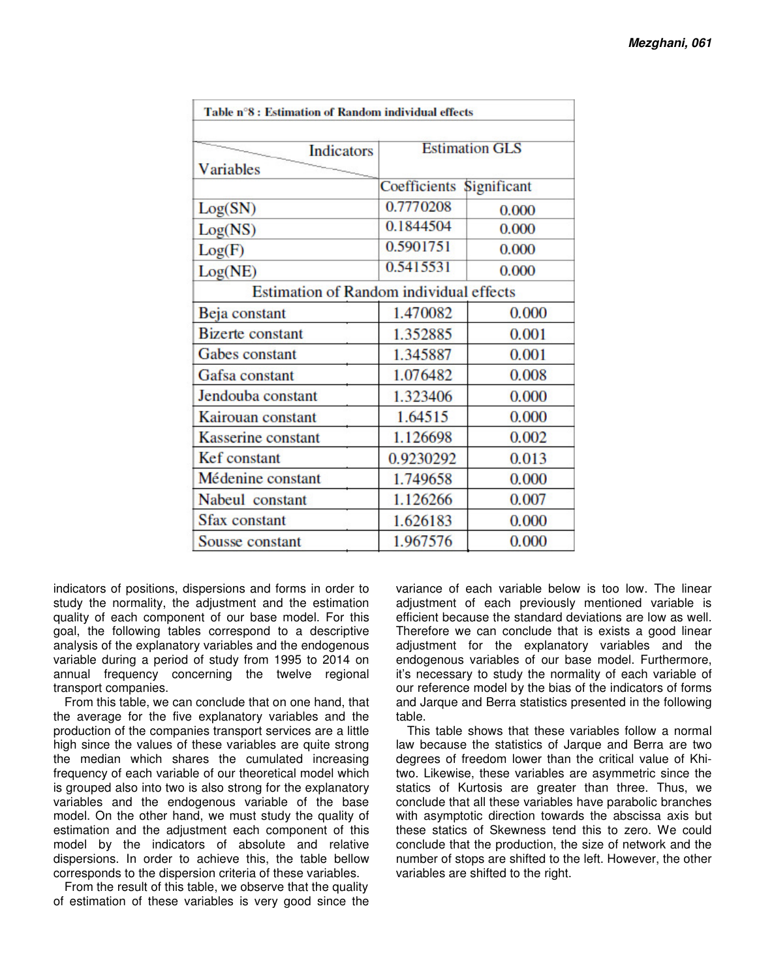| <b>Indicators</b>                              |                          | <b>Estimation GLS</b> |  |
|------------------------------------------------|--------------------------|-----------------------|--|
| Variables                                      |                          |                       |  |
|                                                | Coefficients Significant |                       |  |
| Log(SN)                                        | 0.7770208                | 0.000                 |  |
| Log(NS)                                        | 0.1844504                | 0.000                 |  |
| Log(F)                                         | 0.5901751                | 0.000                 |  |
| Log(NE)                                        | 0.5415531                | 0.000                 |  |
| <b>Estimation of Random individual effects</b> |                          |                       |  |
| Beja constant                                  | 1.470082                 | 0.000                 |  |
| <b>Bizerte</b> constant                        | 1.352885                 | 0.001                 |  |
| Gabes constant                                 | 1.345887                 | 0.001                 |  |
| Gafsa constant                                 | 1.076482                 | 0.008                 |  |
| Jendouba constant                              | 1.323406                 | 0.000                 |  |
| Kairouan constant                              | 1.64515                  | 0.000                 |  |
| Kasserine constant                             | 1.126698                 | 0.002                 |  |
| Kef constant                                   | 0.9230292                | 0.013                 |  |
| Médenine constant                              | 1.749658                 | 0.000                 |  |
| Nabeul constant                                | 1.126266                 | 0.007                 |  |
| <b>Sfax constant</b>                           | 1.626183                 | 0.000                 |  |
| Sousse constant                                | 1.967576                 | 0.000                 |  |

indicators of positions, dispersions and forms in order to study the normality, the adjustment and the estimation quality of each component of our base model. For this goal, the following tables correspond to a descriptive analysis of the explanatory variables and the endogenous variable during a period of study from 1995 to 2014 on annual frequency concerning the twelve regional transport companies.

From this table, we can conclude that on one hand, that the average for the five explanatory variables and the production of the companies transport services are a little high since the values of these variables are quite strong the median which shares the cumulated increasing frequency of each variable of our theoretical model which is grouped also into two is also strong for the explanatory variables and the endogenous variable of the base model. On the other hand, we must study the quality of estimation and the adjustment each component of this model by the indicators of absolute and relative dispersions. In order to achieve this, the table bellow corresponds to the dispersion criteria of these variables.

From the result of this table, we observe that the quality of estimation of these variables is very good since the

variance of each variable below is too low. The linear adjustment of each previously mentioned variable is efficient because the standard deviations are low as well. Therefore we can conclude that is exists a good linear adjustment for the explanatory variables and the endogenous variables of our base model. Furthermore, it's necessary to study the normality of each variable of our reference model by the bias of the indicators of forms and Jarque and Berra statistics presented in the following table.

This table shows that these variables follow a normal law because the statistics of Jarque and Berra are two degrees of freedom lower than the critical value of Khitwo. Likewise, these variables are asymmetric since the statics of Kurtosis are greater than three. Thus, we conclude that all these variables have parabolic branches with asymptotic direction towards the abscissa axis but these statics of Skewness tend this to zero. We could conclude that the production, the size of network and the number of stops are shifted to the left. However, the other variables are shifted to the right.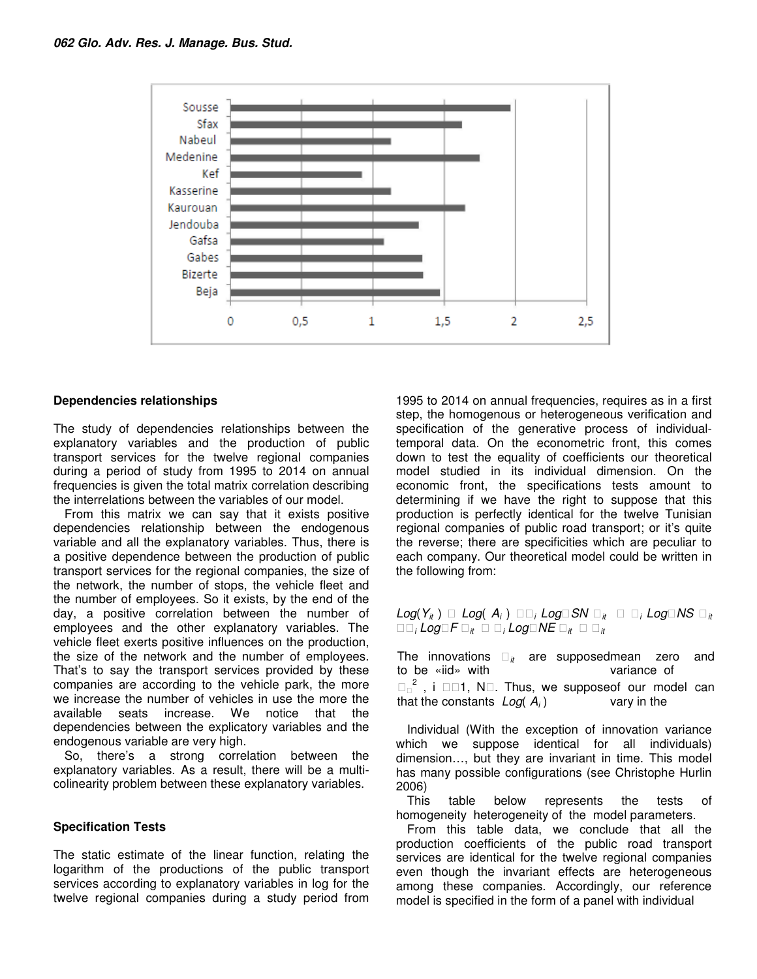

### **Dependencies relationships**

The study of dependencies relationships between the explanatory variables and the production of public transport services for the twelve regional companies during a period of study from 1995 to 2014 on annual frequencies is given the total matrix correlation describing the interrelations between the variables of our model.

From this matrix we can say that it exists positive dependencies relationship between the endogenous variable and all the explanatory variables. Thus, there is a positive dependence between the production of public transport services for the regional companies, the size of the network, the number of stops, the vehicle fleet and the number of employees. So it exists, by the end of the day, a positive correlation between the number of employees and the other explanatory variables. The vehicle fleet exerts positive influences on the production, the size of the network and the number of employees. That's to say the transport services provided by these companies are according to the vehicle park, the more we increase the number of vehicles in use the more the available seats increase. We notice that the seats increase. We notice that the dependencies between the explicatory variables and the endogenous variable are very high.

So, there's a strong correlation between the explanatory variables. As a result, there will be a multicolinearity problem between these explanatory variables.

#### **Specification Tests**

The static estimate of the linear function, relating the logarithm of the productions of the public transport services according to explanatory variables in log for the twelve regional companies during a study period from

1995 to 2014 on annual frequencies, requires as in a first step, the homogenous or heterogeneous verification and specification of the generative process of individualtemporal data. On the econometric front, this comes down to test the equality of coefficients our theoretical model studied in its individual dimension. On the economic front, the specifications tests amount to determining if we have the right to suppose that this production is perfectly identical for the twelve Tunisian regional companies of public road transport; or it's quite the reverse; there are specificities which are peculiar to each company. Our theoretical model could be written in the following from:

 $Log(Y_{it}) \ \Box \ Log(\ A_i) \ \Box \ i Log \Box SN \ \Box_{it} \ \Box \ i Log \Box NS \ \Box_{it}$  $\Box$   $\vdash$   $\Box$   $\Box$   $\Box$   $\vdash$   $\Box$   $\Box$   $\Box$   $\vdash$   $\Box$   $\vdash$   $\Box$   $\vdash$   $\Box$   $\vdash$   $\vdash$   $\Box$   $\vdash$   $\vdash$   $\Box$   $\vdash$   $\vdash$   $\Box$   $\vdash$   $\vdash$   $\vdash$   $\Box$   $\vdash$   $\vdash$   $\vdash$   $\vdash$   $\vdash$   $\vdash$   $\vdash$   $\vdash$   $\vdash$   $\vdash$   $\vdash$ 

The innovations  $\mu$ to be «iid» with are supposedmean zero and variance of

 $2$ , i  $\Box$   $\Box$  N $\Box$ . Thus, we suppose of our model can that the constants  $Log(A_i)$ vary in the

Individual (With the exception of innovation variance which we suppose identical for all individuals) dimension…, but they are invariant in time. This model has many possible configurations (see Christophe Hurlin 2006)

This table below represents the tests of homogeneity heterogeneity of the model parameters.

From this table data, we conclude that all the production coefficients of the public road transport services are identical for the twelve regional companies even though the invariant effects are heterogeneous among these companies. Accordingly, our reference model is specified in the form of a panel with individual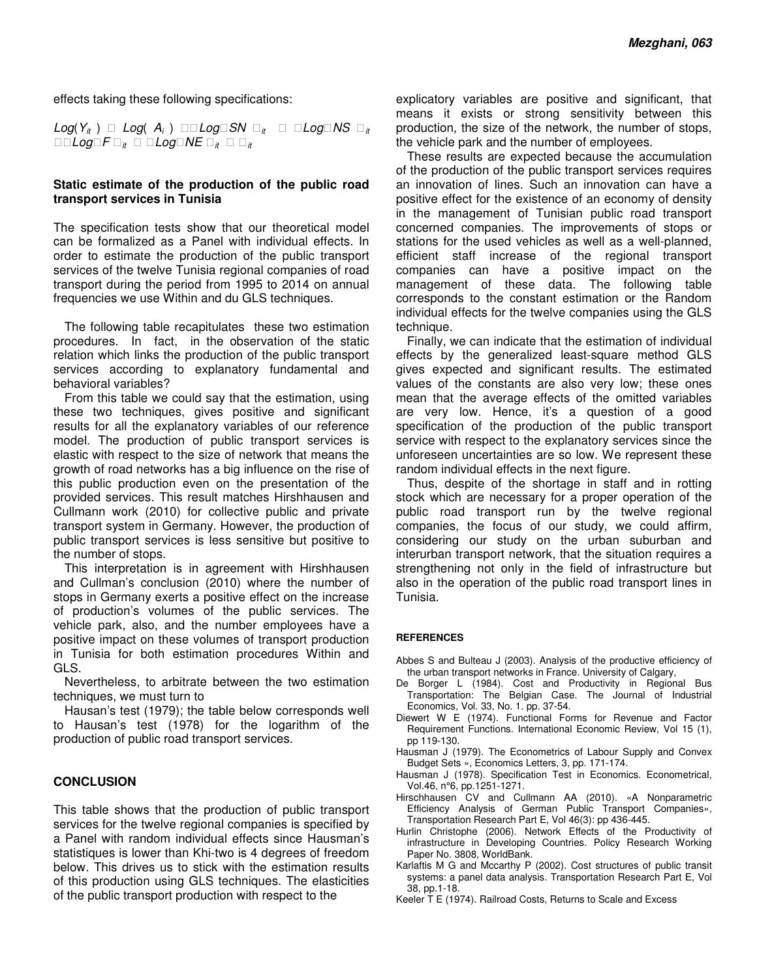effects taking these following specifications:

 $Log(Y_{it}) \square Log(A_i) \square Log\square SN \square_{it} \square Log\square NS \square_{it}$  $\Box$  Log $\Box F \Box_{it} \Box$  Log $\Box NE \Box_{it} \Box$  <sub>it</sub>

#### **Static estimate of the production of the public road transport services in Tunisia**

The specification tests show that our theoretical model can be formalized as a Panel with individual effects. In order to estimate the production of the public transport services of the twelve Tunisia regional companies of road transport during the period from 1995 to 2014 on annual frequencies we use Within and du GLS techniques.

The following table recapitulates these two estimation procedures. In fact, in the observation of the static relation which links the production of the public transport services according to explanatory fundamental and behavioral variables?

From this table we could say that the estimation, using these two techniques, gives positive and significant results for all the explanatory variables of our reference model. The production of public transport services is elastic with respect to the size of network that means the growth of road networks has a big influence on the rise of this public production even on the presentation of the provided services. This result matches Hirshhausen and Cullmann work (2010) for collective public and private transport system in Germany. However, the production of public transport services is less sensitive but positive to the number of stops.

This interpretation is in agreement with Hirshhausen and Cullman's conclusion (2010) where the number of stops in Germany exerts a positive effect on the increase of production's volumes of the public services. The vehicle park, also, and the number employees have a positive impact on these volumes of transport production in Tunisia for both estimation procedures Within and GLS.

Nevertheless, to arbitrate between the two estimation techniques, we must turn to

Hausan's test (1979); the table below corresponds well to Hausan's test (1978) for the logarithm of the production of public road transport services.

## **CONCLUSION**

This table shows that the production of public transport services for the twelve regional companies is specified by a Panel with random individual effects since Hausman's statistiques is lower than Khi-two is 4 degrees of freedom below. This drives us to stick with the estimation results of this production using GLS techniques. The elasticities of the public transport production with respect to the

explicatory variables are positive and significant, that means it exists or strong sensitivity between this production, the size of the network, the number of stops, the vehicle park and the number of employees.

These results are expected because the accumulation of the production of the public transport services requires an innovation of lines. Such an innovation can have a positive effect for the existence of an economy of density in the management of Tunisian public road transport concerned companies. The improvements of stops or stations for the used vehicles as well as a well-planned, efficient staff increase of the regional transport companies can have a positive impact on the management of these data. The following table corresponds to the constant estimation or the Random individual effects for the twelve companies using the GLS technique.

Finally, we can indicate that the estimation of individual effects by the generalized least-square method GLS gives expected and significant results. The estimated values of the constants are also very low; these ones mean that the average effects of the omitted variables are very low. Hence, it's a question of a good specification of the production of the public transport service with respect to the explanatory services since the unforeseen uncertainties are so low. We represent these random individual effects in the next figure.

Thus, despite of the shortage in staff and in rotting stock which are necessary for a proper operation of the public road transport run by the twelve regional companies, the focus of our study, we could affirm, considering our study on the urban suburban and interurban transport network, that the situation requires a strengthening not only in the field of infrastructure but also in the operation of the public road transport lines in Tunisia.

#### **REFERENCES**

- Abbes S and Bulteau J (2003). Analysis of the productive efficiency of the urban transport networks in France. University of Calgary,
- De Borger L (1984). Cost and Productivity in Regional Bus Transportation: The Belgian Case. The Journal of Industrial Economics, Vol. 33, No. 1. pp. 37-54.
- Diewert W E (1974). Functional Forms for Revenue and Factor Requirement Functions. International Economic Review, Vol 15 (1), pp 119-130.
- Hausman J (1979). The Econometrics of Labour Supply and Convex Budget Sets », Economics Letters, 3, pp. 171-174.
- Hausman J (1978). Specification Test in Economics. Econometrical, Vol.46, n°6, pp.1251-1271.
- Hirschhausen CV and Cullmann AA (2010). «A Nonparametric Efficiency Analysis of German Public Transport Companies», Transportation Research Part E, Vol 46(3): pp 436-445.
- Hurlin Christophe (2006). Network Effects of the Productivity of infrastructure in Developing Countries. Policy Research Working Paper No. 3808, WorldBank.
- Karlaftis M G and Mccarthy P (2002). Cost structures of public transit systems: a panel data analysis. Transportation Research Part E, Vol 38, pp.1-18.
- Keeler T E (1974). Railroad Costs, Returns to Scale and Excess